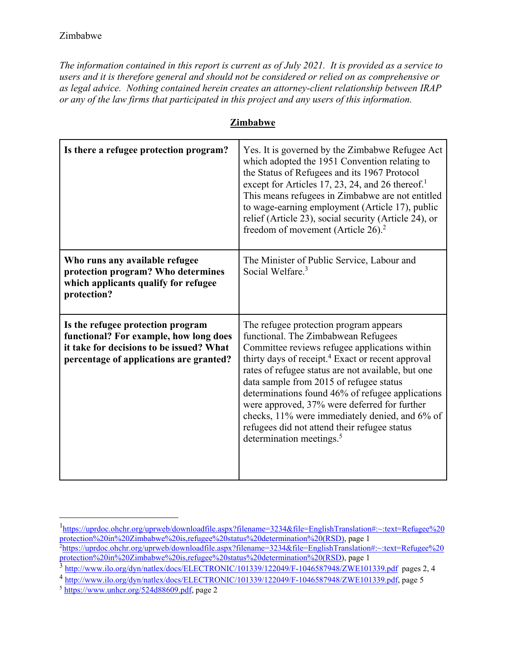*The information contained in this report is current as of July 2021. It is provided as a service to users and it is therefore general and should not be considered or relied on as comprehensive or as legal advice. Nothing contained herein creates an attorney-client relationship between IRAP or any of the law firms that participated in this project and any users of this information.* 

| Is there a refugee protection program?                                                                                                                             | Yes. It is governed by the Zimbabwe Refugee Act<br>which adopted the 1951 Convention relating to<br>the Status of Refugees and its 1967 Protocol<br>except for Articles 17, 23, 24, and 26 thereof. <sup>1</sup><br>This means refugees in Zimbabwe are not entitled<br>to wage-earning employment (Article 17), public<br>relief (Article 23), social security (Article 24), or<br>freedom of movement (Article $26$ ). <sup>2</sup>                                                                                                          |
|--------------------------------------------------------------------------------------------------------------------------------------------------------------------|------------------------------------------------------------------------------------------------------------------------------------------------------------------------------------------------------------------------------------------------------------------------------------------------------------------------------------------------------------------------------------------------------------------------------------------------------------------------------------------------------------------------------------------------|
| Who runs any available refugee<br>protection program? Who determines<br>which applicants qualify for refugee<br>protection?                                        | The Minister of Public Service, Labour and<br>Social Welfare. <sup>3</sup>                                                                                                                                                                                                                                                                                                                                                                                                                                                                     |
| Is the refugee protection program<br>functional? For example, how long does<br>it take for decisions to be issued? What<br>percentage of applications are granted? | The refugee protection program appears<br>functional. The Zimbabwean Refugees<br>Committee reviews refugee applications within<br>thirty days of receipt. <sup>4</sup> Exact or recent approval<br>rates of refugee status are not available, but one<br>data sample from 2015 of refugee status<br>determinations found 46% of refugee applications<br>were approved, 37% were deferred for further<br>checks, 11% were immediately denied, and 6% of<br>refugees did not attend their refugee status<br>determination meetings. <sup>5</sup> |

## **Zimbabwe**

<sup>1</sup> https://uprdoc.ohchr.org/uprweb/downloadfile.aspx?filename=3234&file=EnglishTranslation#:~:text=Refugee%20 protection%20in%20Zimbabwe%20is,refugee%20status%20determination%20(RSD), page 1 2 https://uprdoc.ohchr.org/uprweb/downloadfile.aspx?filename=3234&file=EnglishTranslation#:~:text=Refugee%20 protection%20in%20Zimbabwe%20is,refugee%20status%20determination%20(RSD), page 1

<sup>&</sup>lt;sup>3</sup> http://www.ilo.org/dyn/natlex/docs/ELECTRONIC/101339/122049/F-1046587948/ZWE101339.pdf pages 2, 4

<sup>&</sup>lt;sup>4</sup> http://www.ilo.org/dyn/natlex/docs/ELECTRONIC/101339/122049/F-1046587948/ZWE101339.pdf, page 5<br>5 https://www.unhcr.org/524d88609.pdf, page 2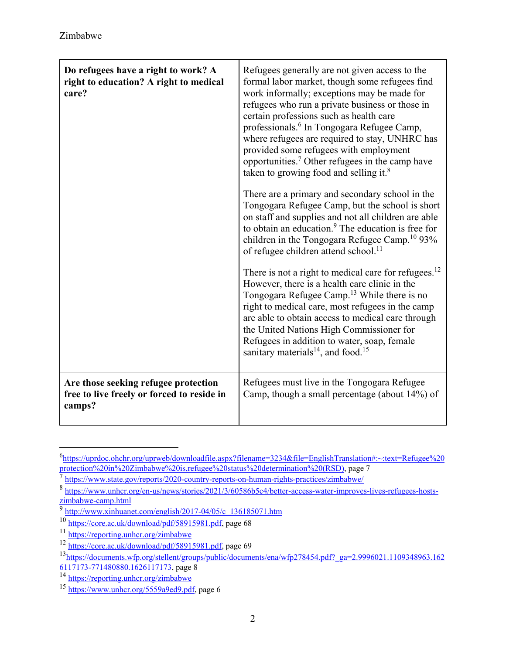| Do refugees have a right to work? A<br>right to education? A right to medical<br>care?       | Refugees generally are not given access to the<br>formal labor market, though some refugees find<br>work informally; exceptions may be made for<br>refugees who run a private business or those in<br>certain professions such as health care<br>professionals. <sup>6</sup> In Tongogara Refugee Camp,<br>where refugees are required to stay, UNHRC has<br>provided some refugees with employment<br>opportunities. <sup>7</sup> Other refugees in the camp have<br>taken to growing food and selling it. <sup>8</sup><br>There are a primary and secondary school in the<br>Tongogara Refugee Camp, but the school is short<br>on staff and supplies and not all children are able<br>to obtain an education. <sup>9</sup> The education is free for<br>children in the Tongogara Refugee Camp. <sup>10</sup> 93%<br>of refugee children attend school. <sup>11</sup><br>There is not a right to medical care for refugees. $^{12}$<br>However, there is a health care clinic in the<br>Tongogara Refugee Camp. <sup>13</sup> While there is no<br>right to medical care, most refugees in the camp<br>are able to obtain access to medical care through<br>the United Nations High Commissioner for<br>Refugees in addition to water, soap, female<br>sanitary materials <sup>14</sup> , and food. <sup>15</sup> |
|----------------------------------------------------------------------------------------------|----------------------------------------------------------------------------------------------------------------------------------------------------------------------------------------------------------------------------------------------------------------------------------------------------------------------------------------------------------------------------------------------------------------------------------------------------------------------------------------------------------------------------------------------------------------------------------------------------------------------------------------------------------------------------------------------------------------------------------------------------------------------------------------------------------------------------------------------------------------------------------------------------------------------------------------------------------------------------------------------------------------------------------------------------------------------------------------------------------------------------------------------------------------------------------------------------------------------------------------------------------------------------------------------------------------------|
| Are those seeking refugee protection<br>free to live freely or forced to reside in<br>camps? | Refugees must live in the Tongogara Refugee<br>Camp, though a small percentage (about 14%) of                                                                                                                                                                                                                                                                                                                                                                                                                                                                                                                                                                                                                                                                                                                                                                                                                                                                                                                                                                                                                                                                                                                                                                                                                        |

<sup>6</sup> https://uprdoc.ohchr.org/uprweb/downloadfile.aspx?filename=3234&file=EnglishTranslation#:~:text=Refugee%20 protection%20in%20Zimbabwe%20is,refugee%20status%20determination%20(RSD), page 7

 $\frac{1}{8}$  https://www.state.gov/reports/2020-country-reports-on-human-rights-practices/zimbabwe/<br> $\frac{1}{8}$  https://www.unhcr.org/en-us/news/stories/2021/3/60586b5c4/better-access-water-improves-lives-refugees-hosts-<br>zimba

 $\frac{\text{http://www.xinhuanet.com/english/2017-04/05/c\_136185071.htm}}{10 \text{ https://core.ac.uk/download/pdf/58915981.pdf}}$ , page 68

 $12 \overline{\text{https://core.ac.uk/download/pdf/58915981.pdf}}$ , page 69

<sup>13</sup>https://documents.wfp.org/stellent/groups/public/documents/ena/wfp278454.pdf?\_ga=2.9996021.1109348963.162 6117173-771480880.1626117173, page 8<br><sup>14</sup> https://reporting.unhcr.org/zimbabwe

 $\frac{15 \text{ https://www.unher.org/5559a9ed9.pdf}}{$  https://www.unhcr.org/5559a9ed9.pdf, page 6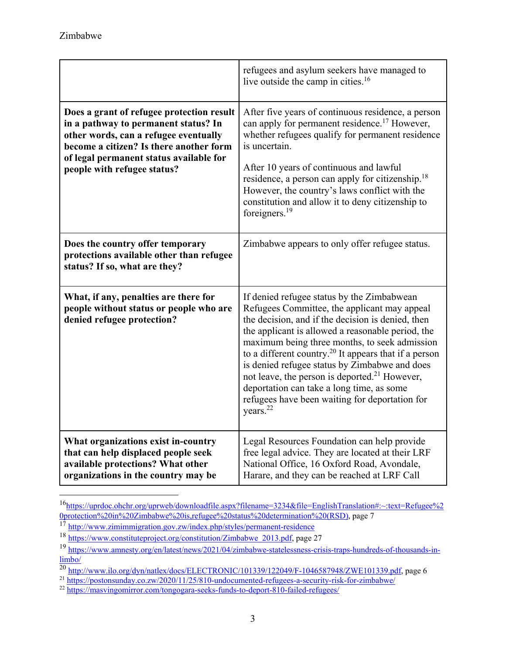|                                                                                                                                                                                                                                                 | refugees and asylum seekers have managed to<br>live outside the camp in cities. <sup>16</sup>                                                                                                                                                                                                                                                                                                                                                                                                                                                                   |
|-------------------------------------------------------------------------------------------------------------------------------------------------------------------------------------------------------------------------------------------------|-----------------------------------------------------------------------------------------------------------------------------------------------------------------------------------------------------------------------------------------------------------------------------------------------------------------------------------------------------------------------------------------------------------------------------------------------------------------------------------------------------------------------------------------------------------------|
| Does a grant of refugee protection result<br>in a pathway to permanent status? In<br>other words, can a refugee eventually<br>become a citizen? Is there another form<br>of legal permanent status available for<br>people with refugee status? | After five years of continuous residence, a person<br>can apply for permanent residence. <sup>17</sup> However,<br>whether refugees qualify for permanent residence<br>is uncertain.<br>After 10 years of continuous and lawful<br>residence, a person can apply for citizenship. <sup>18</sup><br>However, the country's laws conflict with the<br>constitution and allow it to deny citizenship to<br>foreigners. $19$                                                                                                                                        |
| Does the country offer temporary<br>protections available other than refugee<br>status? If so, what are they?                                                                                                                                   | Zimbabwe appears to only offer refugee status.                                                                                                                                                                                                                                                                                                                                                                                                                                                                                                                  |
| What, if any, penalties are there for<br>people without status or people who are<br>denied refugee protection?                                                                                                                                  | If denied refugee status by the Zimbabwean<br>Refugees Committee, the applicant may appeal<br>the decision, and if the decision is denied, then<br>the applicant is allowed a reasonable period, the<br>maximum being three months, to seek admission<br>to a different country. <sup>20</sup> It appears that if a person<br>is denied refugee status by Zimbabwe and does<br>not leave, the person is deported. <sup>21</sup> However,<br>deportation can take a long time, as some<br>refugees have been waiting for deportation for<br>years. <sup>22</sup> |
| What organizations exist in-country<br>that can help displaced people seek<br>available protections? What other<br>organizations in the country may be                                                                                          | Legal Resources Foundation can help provide<br>free legal advice. They are located at their LRF<br>National Office, 16 Oxford Road, Avondale,<br>Harare, and they can be reached at LRF Call                                                                                                                                                                                                                                                                                                                                                                    |

<sup>16</sup>https://uprdoc.ohchr.org/uprweb/downloadfile.aspx?filename=3234&file=EnglishTranslation#:~:text=Refugee%2 0protection%20in%20Zimbabwe%20is,refugee%20status%20determination%20(RSD), page 7<br> $\frac{17 \text{ http://www.zimimmigration.gov.zw/index.php/styles/permannet-residence}}{17 \text{ http://www.zimimmigration.gov.zw/index.php/styles/permannet-residence}}}$ 

<sup>&</sup>lt;sup>18</sup> https://www.constituteproject.org/constitution/Zimbabwe\_2013.pdf, page 27

<sup>19</sup> https://www.amnesty.org/en/latest/news/2021/04/zimbabwe-statelessness-crisis-traps-hundreds-of-thousands-in- $\frac{\text{limbo}}{\text{20} \cdot \text{http://www.ilo.org/dyn/natlex/docs/ELECTRONIC/101339/122049/F-1046587948/ZWE101339.pdf}}$  page 6<br>  $\frac{\text{http://www.ilo.org/dyn/natlex/docs/ELECTRONIC/101339/122049/F-1046587948/ZWE101339.pdf}}{\text{https://postonsunday.co.zw/2020/11/25/810-undocumented-refugees-a-security-risk-for-zimbabwe/}}$